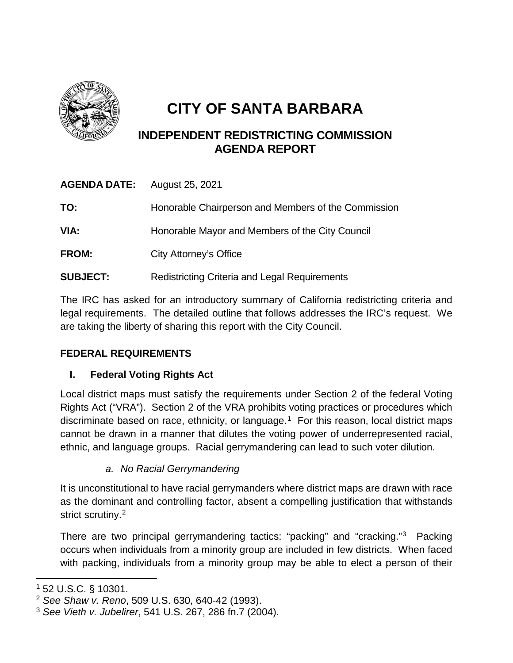

# **CITY OF SANTA BARBARA**

## **INDEPENDENT REDISTRICTING COMMISSION AGENDA REPORT**

| <b>AGENDA DATE:</b> | August 25, 2021                                      |
|---------------------|------------------------------------------------------|
| TO:                 | Honorable Chairperson and Members of the Commission  |
| VIA:                | Honorable Mayor and Members of the City Council      |
| <b>FROM:</b>        | City Attorney's Office                               |
| <b>SUBJECT:</b>     | <b>Redistricting Criteria and Legal Requirements</b> |

The IRC has asked for an introductory summary of California redistricting criteria and legal requirements. The detailed outline that follows addresses the IRC's request. We are taking the liberty of sharing this report with the City Council.

## **FEDERAL REQUIREMENTS**

## **I. Federal Voting Rights Act**

Local district maps must satisfy the requirements under Section 2 of the federal Voting Rights Act ("VRA"). Section 2 of the VRA prohibits voting practices or procedures which discriminate based on race, ethnicity, or language.<sup>1</sup> For this reason, local district maps cannot be drawn in a manner that dilutes the voting power of underrepresented racial, ethnic, and language groups. Racial gerrymandering can lead to such voter dilution.

## *a. No Racial Gerrymandering*

It is unconstitutional to have racial gerrymanders where district maps are drawn with race as the dominant and controlling factor, absent a compelling justification that withstands strict scrutiny.<sup>[2](#page-0-1)</sup>

There are two principal gerrymandering tactics: "packing" and "cracking."[3](#page-0-2) Packing occurs when individuals from a minority group are included in few districts. When faced with packing, individuals from a minority group may be able to elect a person of their

 $\overline{\phantom{a}}$ 

<span id="page-0-0"></span><sup>1</sup> 52 U.S.C. § 10301.

<span id="page-0-1"></span><sup>2</sup> *See Shaw v. Reno*, 509 U.S. 630, 640-42 (1993).

<span id="page-0-2"></span><sup>3</sup> *See Vieth v. Jubelirer*, 541 U.S. 267, 286 fn.7 (2004).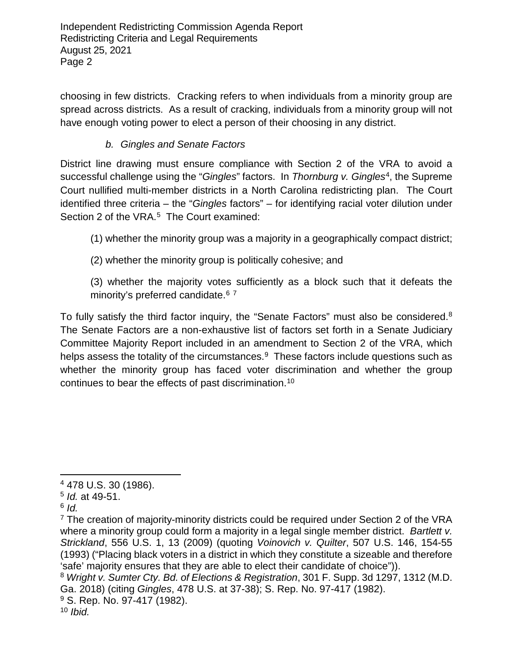choosing in few districts. Cracking refers to when individuals from a minority group are spread across districts. As a result of cracking, individuals from a minority group will not have enough voting power to elect a person of their choosing in any district.

#### *b. Gingles and Senate Factors*

District line drawing must ensure compliance with Section 2 of the VRA to avoid a successful challenge using the "*Gingles*" factors. In *Thornburg v. Gingles*[4](#page-1-0), the Supreme Court nullified multi-member districts in a North Carolina redistricting plan. The Court identified three criteria – the "*Gingles* factors" – for identifying racial voter dilution under Section 2 of the VRA.<sup>5</sup> The Court examined:

(1) whether the minority group was a majority in a geographically compact district;

(2) whether the minority group is politically cohesive; and

(3) whether the majority votes sufficiently as a block such that it defeats the minority's preferred candidate.<sup>[6](#page-1-2)[7](#page-1-3)</sup>

To fully satisfy the third factor inquiry, the "Senate Factors" must also be considered.<sup>[8](#page-1-4)</sup> The Senate Factors are a non-exhaustive list of factors set forth in a Senate Judiciary Committee Majority Report included in an amendment to Section 2 of the VRA, which helps assess the totality of the circumstances.<sup>[9](#page-1-5)</sup> These factors include questions such as whether the minority group has faced voter discrimination and whether the group continues to bear the effects of past discrimination.[10](#page-1-6)

l

<span id="page-1-0"></span><sup>4</sup> 478 U.S. 30 (1986).

<span id="page-1-1"></span><sup>5</sup> *Id.* at 49-51.

<span id="page-1-2"></span>

<span id="page-1-3"></span><sup>&</sup>lt;sup>7</sup> The creation of majority-minority districts could be required under Section 2 of the VRA where a minority group could form a majority in a legal single member district. *Bartlett v. Strickland*, 556 U.S. 1, 13 (2009) (quoting *Voinovich v. Quilter*, 507 U.S. 146, 154-55 (1993) ("Placing black voters in a district in which they constitute a sizeable and therefore 'safe' majority ensures that they are able to elect their candidate of choice")).

<span id="page-1-4"></span><sup>8</sup> *Wright v. Sumter Cty. Bd. of Elections & Registration*, 301 F. Supp. 3d 1297, 1312 (M.D. Ga. 2018) (citing *Gingles*, 478 U.S. at 37-38); S. Rep. No. 97-417 (1982).

<span id="page-1-6"></span><span id="page-1-5"></span><sup>&</sup>lt;sup>9</sup> S. Rep. No. 97-417 (1982).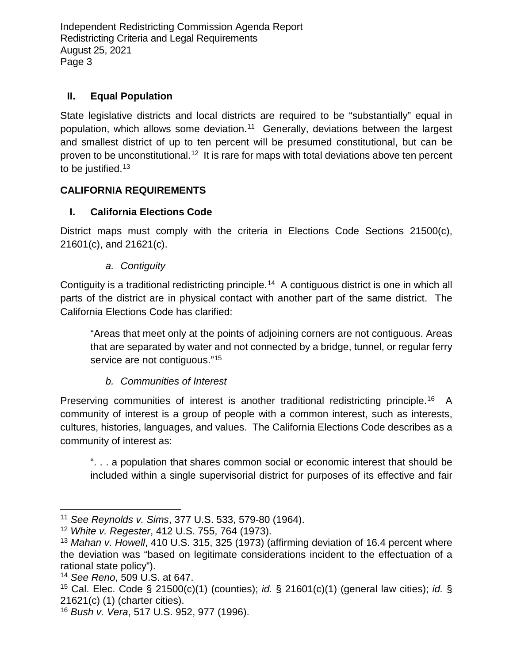#### **II. Equal Population**

State legislative districts and local districts are required to be "substantially" equal in population, which allows some deviation.[11](#page-2-0) Generally, deviations between the largest and smallest district of up to ten percent will be presumed constitutional, but can be proven to be unconstitutional.<sup>[12](#page-2-1)</sup> It is rare for maps with total deviations above ten percent to be justified.<sup>[13](#page-2-2)</sup>

## **CALIFORNIA REQUIREMENTS**

## **I. California Elections Code**

District maps must comply with the criteria in Elections Code Sections 21500(c), 21601(c), and 21621(c).

## *a. Contiguity*

Contiguity is a traditional redistricting principle.[14](#page-2-3) A contiguous district is one in which all parts of the district are in physical contact with another part of the same district. The California Elections Code has clarified:

"Areas that meet only at the points of adjoining corners are not contiguous. Areas that are separated by water and not connected by a bridge, tunnel, or regular ferry service are not contiguous."<sup>[15](#page-2-4)</sup>

## *b. Communities of Interest*

Preserving communities of interest is another traditional redistricting principle.<sup>[16](#page-2-5)</sup> A community of interest is a group of people with a common interest, such as interests, cultures, histories, languages, and values. The California Elections Code describes as a community of interest as:

". . . a population that shares common social or economic interest that should be included within a single supervisorial district for purposes of its effective and fair

 $\overline{\phantom{a}}$ 

<span id="page-2-0"></span><sup>11</sup> *See Reynolds v. Sims*, 377 U.S. 533, 579-80 (1964).

<span id="page-2-1"></span><sup>12</sup> *White v. Regester*, 412 U.S. 755, 764 (1973).

<span id="page-2-2"></span><sup>13</sup> *Mahan v. Howell*, 410 U.S. 315, 325 (1973) (affirming deviation of 16.4 percent where the deviation was "based on legitimate considerations incident to the effectuation of a rational state policy").

<span id="page-2-3"></span><sup>14</sup> *See Reno*, 509 U.S. at 647.

<span id="page-2-4"></span><sup>15</sup> Cal. Elec. Code § 21500(c)(1) (counties); *id.* § 21601(c)(1) (general law cities); *id.* § 21621(c) (1) (charter cities).

<span id="page-2-5"></span><sup>16</sup> *Bush v. Vera*, 517 U.S. 952, 977 (1996).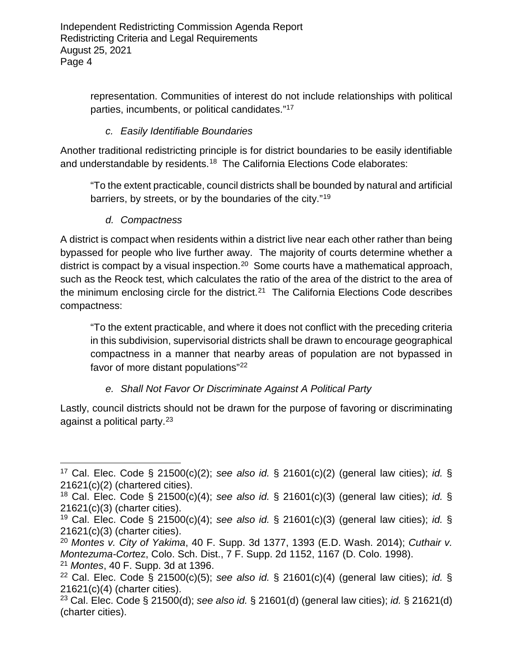> representation. Communities of interest do not include relationships with political parties, incumbents, or political candidates."[17](#page-3-0)

#### *c. Easily Identifiable Boundaries*

Another traditional redistricting principle is for district boundaries to be easily identifiable and understandable by residents.<sup>18</sup> The California Elections Code elaborates:

"To the extent practicable, council districts shall be bounded by natural and artificial barriers, by streets, or by the boundaries of the city."[19](#page-3-2)

*d. Compactness* 

 $\overline{\phantom{a}}$ 

A district is compact when residents within a district live near each other rather than being bypassed for people who live further away. The majority of courts determine whether a district is compact by a visual inspection.<sup>20</sup> Some courts have a mathematical approach, such as the Reock test, which calculates the ratio of the area of the district to the area of the minimum enclosing circle for the district.<sup>[21](#page-3-4)</sup> The California Elections Code describes compactness:

"To the extent practicable, and where it does not conflict with the preceding criteria in this subdivision, supervisorial districts shall be drawn to encourage geographical compactness in a manner that nearby areas of population are not bypassed in favor of more distant populations"[22](#page-3-5)

#### *e. Shall Not Favor Or Discriminate Against A Political Party*

Lastly, council districts should not be drawn for the purpose of favoring or discriminating against a political party.[23](#page-3-6)

<span id="page-3-0"></span><sup>17</sup> Cal. Elec. Code § 21500(c)(2); *see also id.* § 21601(c)(2) (general law cities); *id.* § 21621(c)(2) (chartered cities).

<span id="page-3-1"></span><sup>18</sup> Cal. Elec. Code § 21500(c)(4); *see also id.* § 21601(c)(3) (general law cities); *id.* § 21621(c)(3) (charter cities).

<span id="page-3-2"></span><sup>19</sup> Cal. Elec. Code § 21500(c)(4); *see also id.* § 21601(c)(3) (general law cities); *id.* § 21621(c)(3) (charter cities).

<span id="page-3-3"></span><sup>20</sup> *Montes v. City of Yakima*, 40 F. Supp. 3d 1377, 1393 (E.D. Wash. 2014); *Cuthair v. Montezuma-Cort*ez, Colo. Sch. Dist., 7 F. Supp. 2d 1152, 1167 (D. Colo. 1998). <sup>21</sup> *Montes*, 40 F. Supp. 3d at 1396.

<span id="page-3-5"></span><span id="page-3-4"></span><sup>22</sup> Cal. Elec. Code § 21500(c)(5); *see also id.* § 21601(c)(4) (general law cities); *id.* § 21621(c)(4) (charter cities).

<span id="page-3-6"></span><sup>23</sup> Cal. Elec. Code § 21500(d); *see also id.* § 21601(d) (general law cities); *id.* § 21621(d) (charter cities).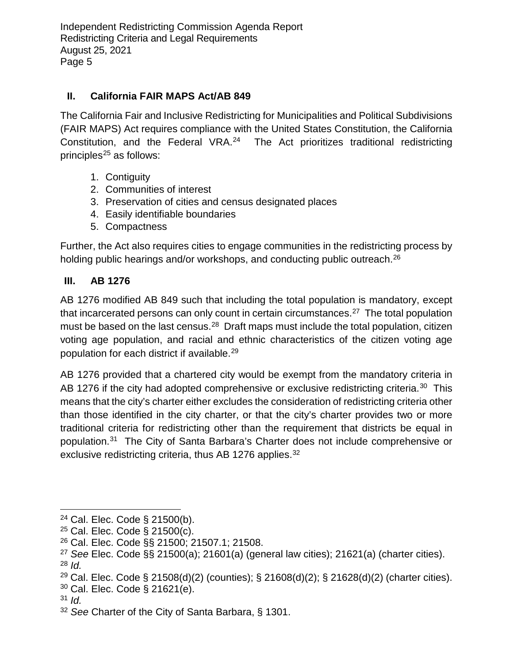#### **II. California FAIR MAPS Act/AB 849**

The California Fair and Inclusive Redistricting for Municipalities and Political Subdivisions (FAIR MAPS) Act requires compliance with the United States Constitution, the California Constitution, and the Federal VRA.[24](#page-4-0) The Act prioritizes traditional redistricting principles<sup>[25](#page-4-1)</sup> as follows:

- 1. Contiguity
- 2. Communities of interest
- 3. Preservation of cities and census designated places
- 4. Easily identifiable boundaries
- 5. Compactness

Further, the Act also requires cities to engage communities in the redistricting process by holding public hearings and/or workshops, and conducting public outreach.<sup>26</sup>

#### **III. AB 1276**

AB 1276 modified AB 849 such that including the total population is mandatory, except that incarcerated persons can only count in certain circumstances.<sup>27</sup> The total population must be based on the last census.<sup>[28](#page-4-4)</sup> Draft maps must include the total population, citizen voting age population, and racial and ethnic characteristics of the citizen voting age population for each district if available.[29](#page-4-5)

AB 1276 provided that a chartered city would be exempt from the mandatory criteria in AB 1276 if the city had adopted comprehensive or exclusive redistricting criteria.<sup>[30](#page-4-6)</sup> This means that the city's charter either excludes the consideration of redistricting criteria other than those identified in the city charter, or that the city's charter provides two or more traditional criteria for redistricting other than the requirement that districts be equal in population.[31](#page-4-7) The City of Santa Barbara's Charter does not include comprehensive or exclusive redistricting criteria, thus AB 1276 applies.<sup>[32](#page-4-8)</sup>

<span id="page-4-7"></span> $31$  *Id.* 

<span id="page-4-0"></span> $\overline{\phantom{a}}$  $24$  Cal. Elec. Code § 21500(b).

<span id="page-4-1"></span> $25$  Cal. Elec. Code § 21500(c).

<span id="page-4-2"></span><sup>26</sup> Cal. Elec. Code §§ 21500; 21507.1; 21508.

<span id="page-4-3"></span><sup>27</sup> *See* Elec. Code §§ 21500(a); 21601(a) (general law cities); 21621(a) (charter cities).

<span id="page-4-4"></span><sup>28</sup> *Id.*

<span id="page-4-5"></span><sup>&</sup>lt;sup>29</sup> Cal. Elec. Code § 21508(d)(2) (counties); § 21608(d)(2); § 21628(d)(2) (charter cities).

<span id="page-4-6"></span><sup>30</sup> Cal. Elec. Code § 21621(e).

<span id="page-4-8"></span><sup>32</sup> *See* Charter of the City of Santa Barbara, § 1301.